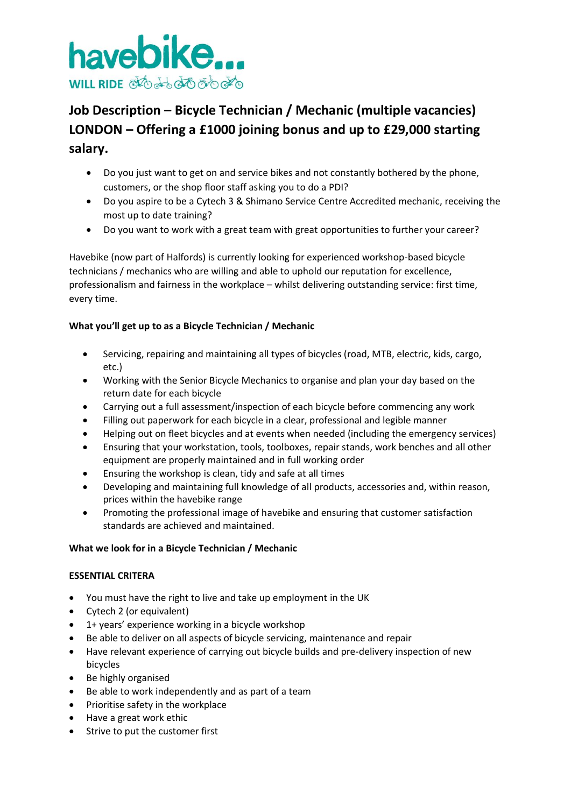

# **Job Description – Bicycle Technician / Mechanic (multiple vacancies) LONDON – Offering a £1000 joining bonus and up to £29,000 starting salary.**

- Do you just want to get on and service bikes and not constantly bothered by the phone, customers, or the shop floor staff asking you to do a PDI?
- Do you aspire to be a Cytech 3 & Shimano Service Centre Accredited mechanic, receiving the most up to date training?
- Do you want to work with a great team with great opportunities to further your career?

Havebike (now part of Halfords) is currently looking for experienced workshop-based bicycle technicians / mechanics who are willing and able to uphold our reputation for excellence, professionalism and fairness in the workplace – whilst delivering outstanding service: first time, every time.

## **What you'll get up to as a Bicycle Technician / Mechanic**

- Servicing, repairing and maintaining all types of bicycles (road, MTB, electric, kids, cargo, etc.)
- Working with the Senior Bicycle Mechanics to organise and plan your day based on the return date for each bicycle
- Carrying out a full assessment/inspection of each bicycle before commencing any work
- Filling out paperwork for each bicycle in a clear, professional and legible manner
- Helping out on fleet bicycles and at events when needed (including the emergency services)
- Ensuring that your workstation, tools, toolboxes, repair stands, work benches and all other equipment are properly maintained and in full working order
- Ensuring the workshop is clean, tidy and safe at all times
- Developing and maintaining full knowledge of all products, accessories and, within reason, prices within the havebike range
- Promoting the professional image of havebike and ensuring that customer satisfaction standards are achieved and maintained.

## **What we look for in a Bicycle Technician / Mechanic**

#### **ESSENTIAL CRITERA**

- You must have the right to live and take up employment in the UK
- Cytech 2 (or equivalent)
- 1+ years' experience working in a bicycle workshop
- Be able to deliver on all aspects of bicycle servicing, maintenance and repair
- Have relevant experience of carrying out bicycle builds and pre-delivery inspection of new bicycles
- Be highly organised
- Be able to work independently and as part of a team
- Prioritise safety in the workplace
- Have a great work ethic
- Strive to put the customer first